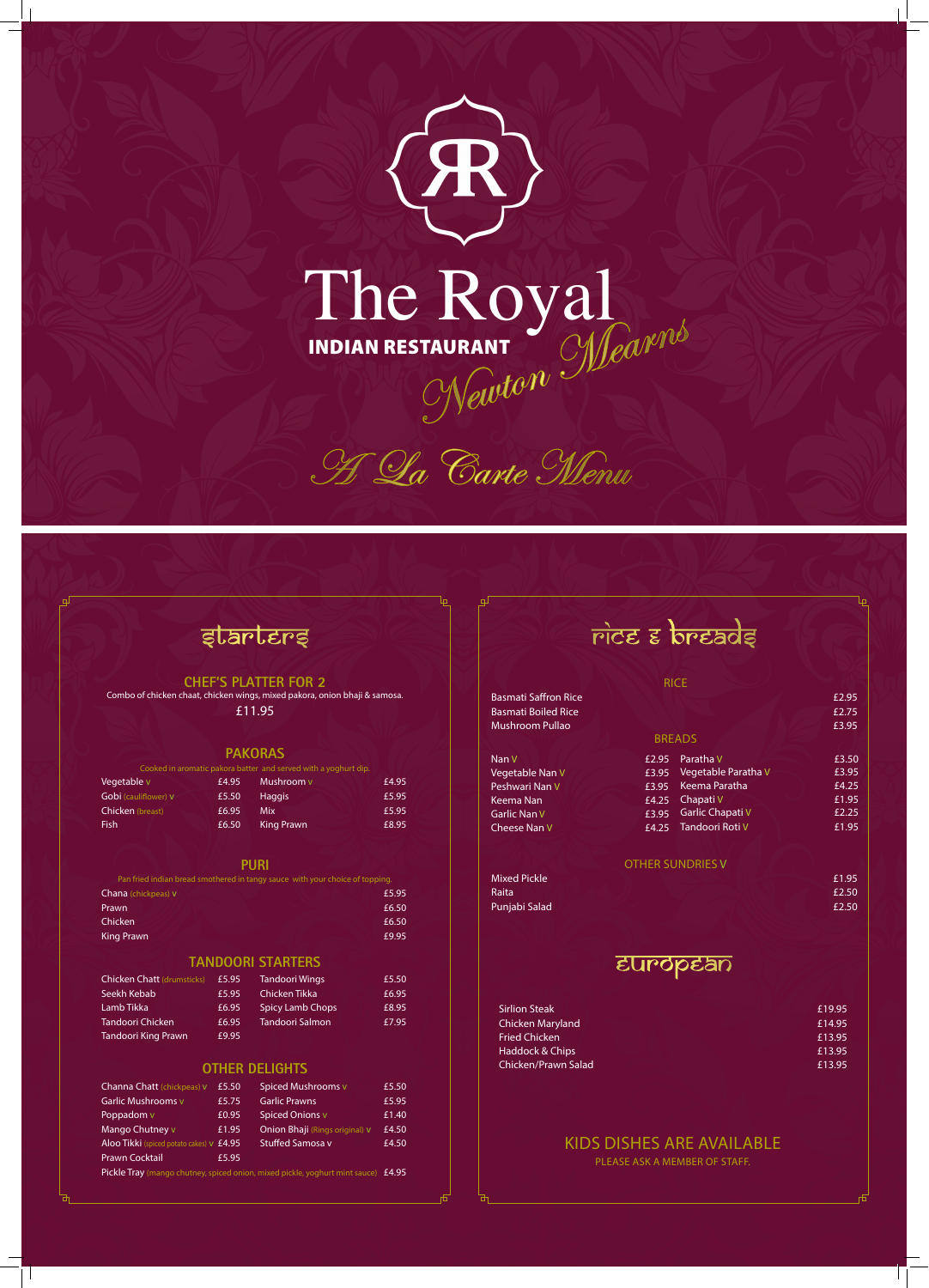



## starters

### **CHEF'S PLATTER FOR 2**

Combo of chicken chaat, chicken wings, mixed pakora, onion bhaji & samosa. £11.95

#### **PAKORAS**

|                      |       | Cooked in aromatic pakora batter and served with a yoghurt dip. |       |
|----------------------|-------|-----------------------------------------------------------------|-------|
| Vegetable v          | £4.95 | Mushroom v                                                      | £4.95 |
| Gobi (cauliflower) V | £5.50 | <b>Haggis</b>                                                   | £5.95 |
| Chicken (breast)     | £6.95 | Mix                                                             | £5.95 |
| <b>Fish</b>          | £6.50 | <b>King Prawn</b>                                               | £8.95 |

## **PURI**

| Pan fried indian bread smothered in tangy sauce with your choice of topping. |       |
|------------------------------------------------------------------------------|-------|
| <b>Chana</b> (chickpeas) V                                                   | £5.95 |
| Prawn                                                                        | £6.50 |
| <b>Chicken</b>                                                               | £6.50 |

## rice & breads

**Basmati Saffron Rice E2.95** Basmati Boiled Rice **Example 2.75** and 2.75 Mushroom Pullao **2008 E3.95** 

Nan V Vegetable Nan V **E3.95** Peshwari Nan V Keema Nan **Garlic Nan V** Cheese Nan V

## **TANDOORI STARTERS**

| <b>Chicken Chatt (drumsticks)</b> | £5.95 | <b>Tandoori Wings</b>   | £5.50 |
|-----------------------------------|-------|-------------------------|-------|
| Seekh Kebab                       | £5.95 | Chicken Tikka           | £6.95 |
| Lamb Tikka                        | £6.95 | <b>Spicy Lamb Chops</b> | £8.95 |
| Tandoori Chicken.                 | £6.95 | <b>Tandoori Salmon</b>  | £7.95 |
| Tandoori King Prawn               | £9.95 |                         |       |

## **OTHER DELIGHTS**

| Channa Chatt (chickpeas) v                                                                        | £5.50 | Spiced Mushrooms v             | £5.50 |
|---------------------------------------------------------------------------------------------------|-------|--------------------------------|-------|
| Garlic Mushrooms v                                                                                | £5.75 | <b>Garlic Prawns</b>           | £5.95 |
| Poppadom v                                                                                        | £0.95 | <b>Spiced Onions v</b>         | £1.40 |
| Mango Chutney v                                                                                   | £1.95 | Onion Bhaji (Rings original) V | £4.50 |
| Aloo Tikki (spiced potato cakes) v £4.95                                                          |       | <b>Stuffed Samosa v</b>        | £4.50 |
| <b>Prawn Cocktail</b>                                                                             | £5.95 |                                |       |
| <b>Pickle Tray</b> (mango chutney, spiced onion, mixed pickle, yoghurt mint sauce) $\pounds 4.95$ |       |                                |       |

## European

| <b>Sirlion Steak</b> | £19.95 |
|----------------------|--------|
| Chicken Maryland     | £14.95 |
| Fried Chicken        | £13.95 |
| Haddock & Chips      | £13.95 |
| Chicken/Prawn Salad  | £13.95 |

## KIDS DISHES ARE AVAILABLE PLEASE ASK A MEMBER OF STAFF.

RICE

### BREADS

#### OTHER SUNDRIES V

| Mixed Pickle  | £1.95 |
|---------------|-------|
| Raita         | £2.50 |
| Punjabi Salad | £2.50 |
|               |       |

King Prawn **£9.95** 

 Keema Paratha £4.25  $E2.95$  Paratha V  $E3.50$ Vegetable Paratha V **£3.95** E4.25 Chapati V 6.1.95 E3.95 Garlic Chapati V E2.25 Tandoori Roti V £1.95